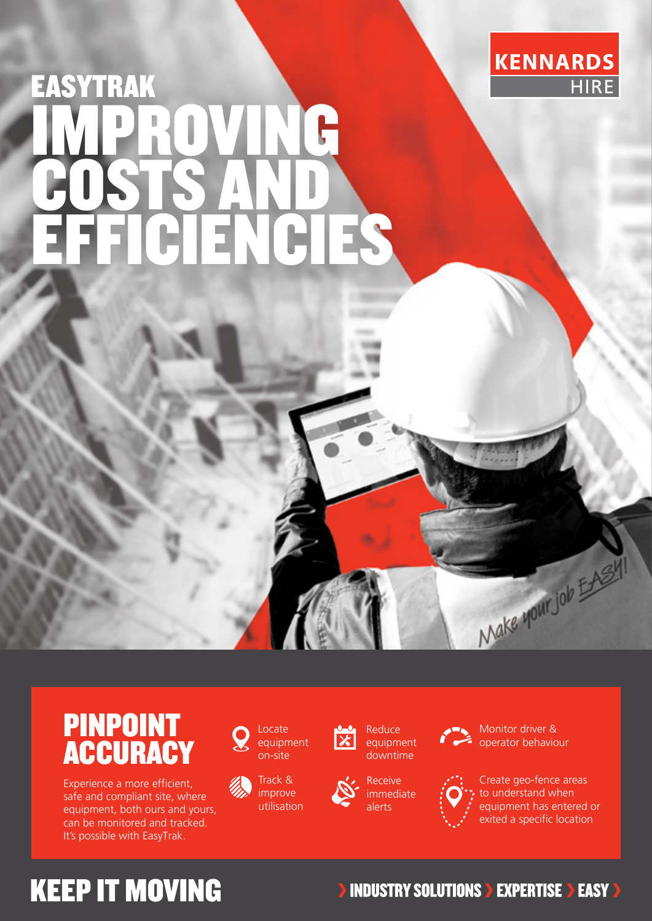

# EASYTRAK IMPROVING COSTS AND EFFICIENCIES



Experience a more efficient, safe and compliant site, where equipment, both ours and yours, can be monitored and tracked. It's possible with EasyTrak.



Locate equipment on-site

Track & improve utilisation



Receive downtime

immediate alerts



Monitor driver & operator behaviour



Create geo-fence areas to understand when equipment has entered or exited a specific location

Make your Job EASY!

## **KEEP IT MOVING**

#### **INDUSTRY SOLUTIONS > EXPERTISE > EASY >**